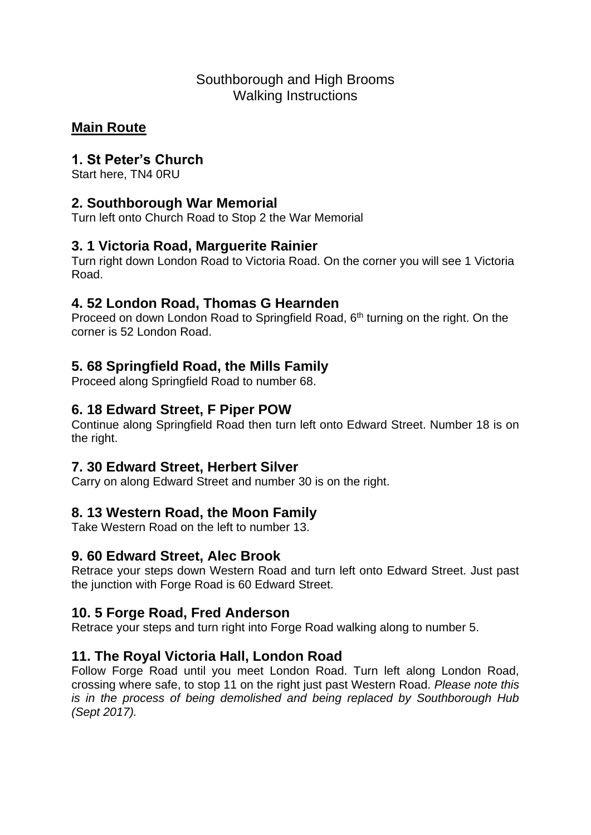### Southborough and High Brooms Walking Instructions

## **Main Route**

### **1. St Peter's Church**

Start here, TN4 0RU

## **2. Southborough War Memorial**

Turn left onto Church Road to Stop 2 the War Memorial

#### **3. 1 Victoria Road, Marguerite Rainier**

Turn right down London Road to Victoria Road. On the corner you will see 1 Victoria Road.

### **4. 52 London Road, Thomas G Hearnden**

Proceed on down London Road to Springfield Road, 6<sup>th</sup> turning on the right. On the corner is 52 London Road.

## **5. 68 Springfield Road, the Mills Family**

Proceed along Springfield Road to number 68.

### **6. 18 Edward Street, F Piper POW**

Continue along Springfield Road then turn left onto Edward Street. Number 18 is on the right.

### **7. 30 Edward Street, Herbert Silver**

Carry on along Edward Street and number 30 is on the right.

### **8. 13 Western Road, the Moon Family**

Take Western Road on the left to number 13.

### **9. 60 Edward Street, Alec Brook**

Retrace your steps down Western Road and turn left onto Edward Street. Just past the junction with Forge Road is 60 Edward Street.

### **10. 5 Forge Road, Fred Anderson**

Retrace your steps and turn right into Forge Road walking along to number 5.

### **11. The Royal Victoria Hall, London Road**

Follow Forge Road until you meet London Road. Turn left along London Road, crossing where safe, to stop 11 on the right just past Western Road. *Please note this is in the process of being demolished and being replaced by Southborough Hub (Sept 2017).*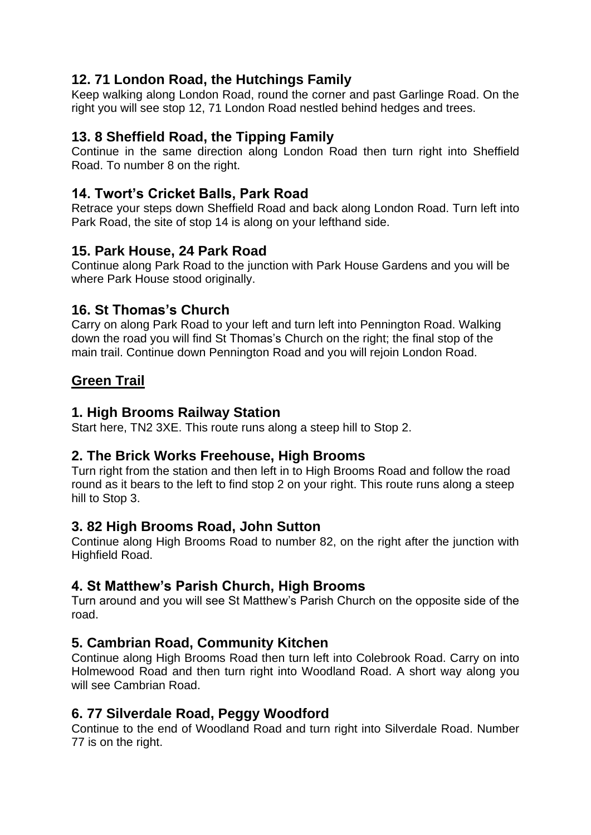# **12. 71 London Road, the Hutchings Family**

Keep walking along London Road, round the corner and past Garlinge Road. On the right you will see stop 12, 71 London Road nestled behind hedges and trees.

### **13. 8 Sheffield Road, the Tipping Family**

Continue in the same direction along London Road then turn right into Sheffield Road. To number 8 on the right.

## **14. Twort's Cricket Balls, Park Road**

Retrace your steps down Sheffield Road and back along London Road. Turn left into Park Road, the site of stop 14 is along on your lefthand side.

## **15. Park House, 24 Park Road**

Continue along Park Road to the junction with Park House Gardens and you will be where Park House stood originally.

## **16. St Thomas's Church**

Carry on along Park Road to your left and turn left into Pennington Road. Walking down the road you will find St Thomas's Church on the right; the final stop of the main trail. Continue down Pennington Road and you will rejoin London Road.

# **Green Trail**

## **1. High Brooms Railway Station**

Start here, TN2 3XE. This route runs along a steep hill to Stop 2.

### **2. The Brick Works Freehouse, High Brooms**

Turn right from the station and then left in to High Brooms Road and follow the road round as it bears to the left to find stop 2 on your right. This route runs along a steep hill to Stop 3.

### **3. 82 High Brooms Road, John Sutton**

Continue along High Brooms Road to number 82, on the right after the junction with Highfield Road.

# **4. St Matthew's Parish Church, High Brooms**

Turn around and you will see St Matthew's Parish Church on the opposite side of the road.

# **5. Cambrian Road, Community Kitchen**

Continue along High Brooms Road then turn left into Colebrook Road. Carry on into Holmewood Road and then turn right into Woodland Road. A short way along you will see Cambrian Road.

### **6. 77 Silverdale Road, Peggy Woodford**

Continue to the end of Woodland Road and turn right into Silverdale Road. Number 77 is on the right.